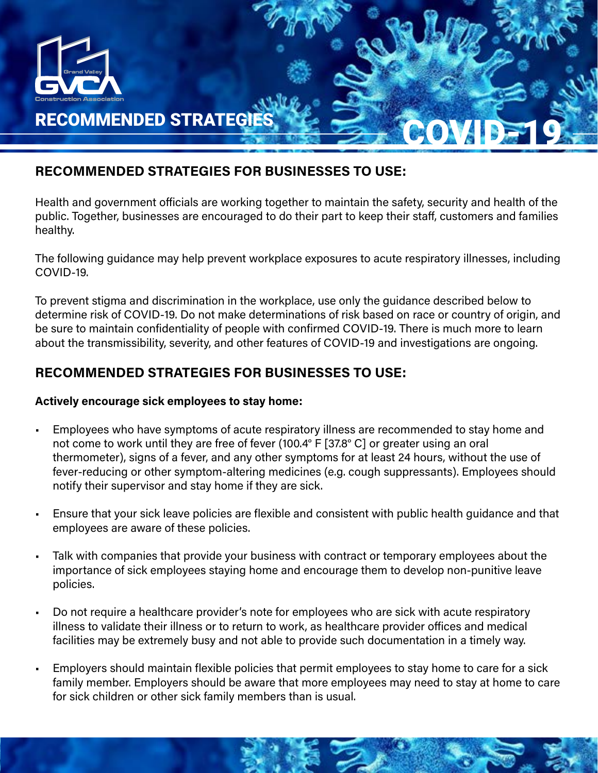

## RECOMMENDED STRATEGIES FOR BUSINESSES TO USE:

Health and government officials are working together to maintain the safety, security and health of the public. Together, businesses are encouraged to do their part to keep their staff, customers and families healthy.

The following guidance may help prevent workplace exposures to acute respiratory illnesses, including COVID-19.

To prevent stigma and discrimination in the workplace, use only the guidance described below to determine risk of COVID-19. Do not make determinations of risk based on race or country of origin, and be sure to maintain confidentiality of people with confirmed COVID-19. There is much more to learn about the transmissibility, severity, and other features of COVID-19 and investigations are ongoing.

# RECOMMENDED STRATEGIES FOR BUSINESSES TO USE:

## Actively encourage sick employees to stay home:

- Employees who have symptoms of acute respiratory illness are recommended to stay home and not come to work until they are free of fever (100.4° F [37.8° C] or greater using an oral thermometer), signs of a fever, and any other symptoms for at least 24 hours, without the use of fever-reducing or other symptom-altering medicines (e.g. cough suppressants). Employees should notify their supervisor and stay home if they are sick.
- Ensure that your sick leave policies are flexible and consistent with public health guidance and that employees are aware of these policies.
- Talk with companies that provide your business with contract or temporary employees about the importance of sick employees staying home and encourage them to develop non-punitive leave policies.
- Do not require a healthcare provider's note for employees who are sick with acute respiratory illness to validate their illness or to return to work, as healthcare provider offices and medical facilities may be extremely busy and not able to provide such documentation in a timely way.
- Employers should maintain flexible policies that permit employees to stay home to care for a sick family member. Employers should be aware that more employees may need to stay at home to care for sick children or other sick family members than is usual.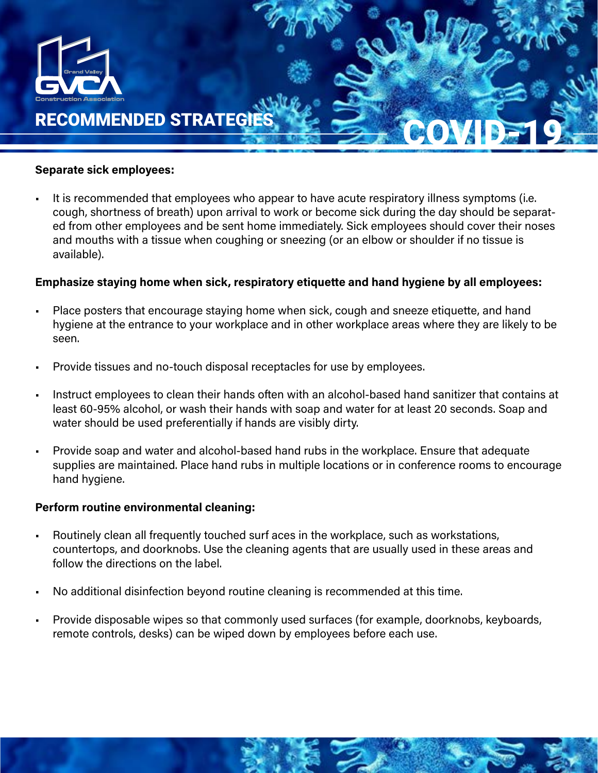

#### Separate sick employees:

It is recommended that employees who appear to have acute respiratory illness symptoms (i.e. cough, shortness of breath) upon arrival to work or become sick during the day should be separated from other employees and be sent home immediately. Sick employees should cover their noses and mouths with a tissue when coughing or sneezing (or an elbow or shoulder if no tissue is available).

## Emphasize staying home when sick, respiratory etiquette and hand hygiene by all employees:

- Place posters that encourage staying home when sick, cough and sneeze etiquette, and hand hygiene at the entrance to your workplace and in other workplace areas where they are likely to be seen.
- Provide tissues and no-touch disposal receptacles for use by employees.
- Instruct employees to clean their hands often with an alcohol-based hand sanitizer that contains at least 60-95% alcohol, or wash their hands with soap and water for at least 20 seconds. Soap and water should be used preferentially if hands are visibly dirty.
- Provide soap and water and alcohol-based hand rubs in the workplace. Ensure that adequate supplies are maintained. Place hand rubs in multiple locations or in conference rooms to encourage hand hygiene.

#### Perform routine environmental cleaning:

- Routinely clean all frequently touched surf aces in the workplace, such as workstations, countertops, and doorknobs. Use the cleaning agents that are usually used in these areas and follow the directions on the label.
- No additional disinfection beyond routine cleaning is recommended at this time.
- Provide disposable wipes so that commonly used surfaces (for example, doorknobs, keyboards, remote controls, desks) can be wiped down by employees before each use.